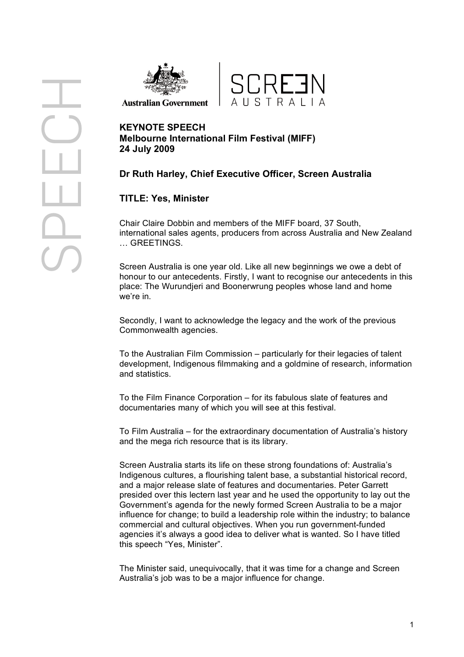

**Australian Government** 



# **KEYNOTE SPEECH Melbourne International Film Festival (MIFF) 24 July 2009**

## **Dr Ruth Harley, Chief Executive Officer, Screen Australia**

## **TITLE: Yes, Minister**

Chair Claire Dobbin and members of the MIFF board, 37 South, international sales agents, producers from across Australia and New Zealand … GREETINGS.

Screen Australia is one year old. Like all new beginnings we owe a debt of honour to our antecedents. Firstly, I want to recognise our antecedents in this place: The Wurundjeri and Boonerwrung peoples whose land and home we're in.

Secondly, I want to acknowledge the legacy and the work of the previous Commonwealth agencies.

To the Australian Film Commission – particularly for their legacies of talent development, Indigenous filmmaking and a goldmine of research, information and statistics.

To the Film Finance Corporation – for its fabulous slate of features and documentaries many of which you will see at this festival.

To Film Australia – for the extraordinary documentation of Australia's history and the mega rich resource that is its library.

Screen Australia starts its life on these strong foundations of: Australia's Indigenous cultures, a flourishing talent base, a substantial historical record, and a major release slate of features and documentaries. Peter Garrett presided over this lectern last year and he used the opportunity to lay out the Government's agenda for the newly formed Screen Australia to be a major influence for change; to build a leadership role within the industry; to balance commercial and cultural objectives. When you run government-funded agencies it's always a good idea to deliver what is wanted. So I have titled this speech "Yes, Minister".

The Minister said, unequivocally, that it was time for a change and Screen Australia's job was to be a major influence for change.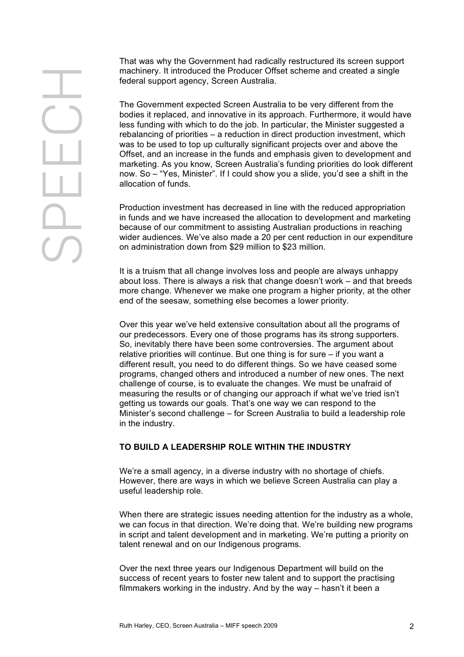That was why the Government had radically restructured its screen support machinery. It introduced the Producer Offset scheme and created a single federal support agency, Screen Australia.

The Government expected Screen Australia to be very different from the bodies it replaced, and innovative in its approach. Furthermore, it would have less funding with which to do the job. In particular, the Minister suggested a rebalancing of priorities – a reduction in direct production investment, which was to be used to top up culturally significant projects over and above the Offset, and an increase in the funds and emphasis given to development and marketing. As you know, Screen Australia's funding priorities do look different now. So – "Yes, Minister". If I could show you a slide, you'd see a shift in the allocation of funds.

Production investment has decreased in line with the reduced appropriation in funds and we have increased the allocation to development and marketing because of our commitment to assisting Australian productions in reaching wider audiences. We've also made a 20 per cent reduction in our expenditure on administration down from \$29 million to \$23 million.

It is a truism that all change involves loss and people are always unhappy about loss. There is always a risk that change doesn't work – and that breeds more change. Whenever we make one program a higher priority, at the other end of the seesaw, something else becomes a lower priority.

Over this year we've held extensive consultation about all the programs of our predecessors. Every one of those programs has its strong supporters. So, inevitably there have been some controversies. The argument about relative priorities will continue. But one thing is for sure – if you want a different result, you need to do different things. So we have ceased some programs, changed others and introduced a number of new ones. The next challenge of course, is to evaluate the changes. We must be unafraid of measuring the results or of changing our approach if what we've tried isn't getting us towards our goals. That's one way we can respond to the Minister's second challenge – for Screen Australia to build a leadership role in the industry.

### **TO BUILD A LEADERSHIP ROLE WITHIN THE INDUSTRY**

We're a small agency, in a diverse industry with no shortage of chiefs. However, there are ways in which we believe Screen Australia can play a useful leadership role.

When there are strategic issues needing attention for the industry as a whole, we can focus in that direction. We're doing that. We're building new programs in script and talent development and in marketing. We're putting a priority on talent renewal and on our Indigenous programs.

Over the next three years our Indigenous Department will build on the success of recent years to foster new talent and to support the practising filmmakers working in the industry. And by the way – hasn't it been a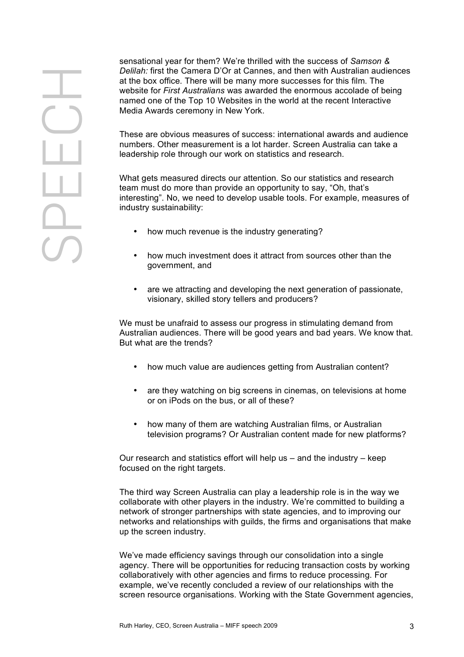sensational year for them? We're thrilled with the success of *Samson & Delilah:* first the Camera D'Or at Cannes, and then with Australian audiences at the box office. There will be many more successes for this film. The website for *First Australians* was awarded the enormous accolade of being named one of the Top 10 Websites in the world at the recent Interactive Media Awards ceremony in New York.

These are obvious measures of success: international awards and audience numbers. Other measurement is a lot harder. Screen Australia can take a leadership role through our work on statistics and research.

What gets measured directs our attention. So our statistics and research team must do more than provide an opportunity to say, "Oh, that's interesting". No, we need to develop usable tools. For example, measures of industry sustainability:

- how much revenue is the industry generating?
- how much investment does it attract from sources other than the government, and
- are we attracting and developing the next generation of passionate. visionary, skilled story tellers and producers?

We must be unafraid to assess our progress in stimulating demand from Australian audiences. There will be good years and bad years. We know that. But what are the trends?

- how much value are audiences getting from Australian content?
- are they watching on big screens in cinemas, on televisions at home or on iPods on the bus, or all of these?
- how many of them are watching Australian films, or Australian television programs? Or Australian content made for new platforms?

Our research and statistics effort will help us – and the industry – keep focused on the right targets.

The third way Screen Australia can play a leadership role is in the way we collaborate with other players in the industry. We're committed to building a network of stronger partnerships with state agencies, and to improving our networks and relationships with guilds, the firms and organisations that make up the screen industry.

We've made efficiency savings through our consolidation into a single agency. There will be opportunities for reducing transaction costs by working collaboratively with other agencies and firms to reduce processing. For example, we've recently concluded a review of our relationships with the screen resource organisations. Working with the State Government agencies,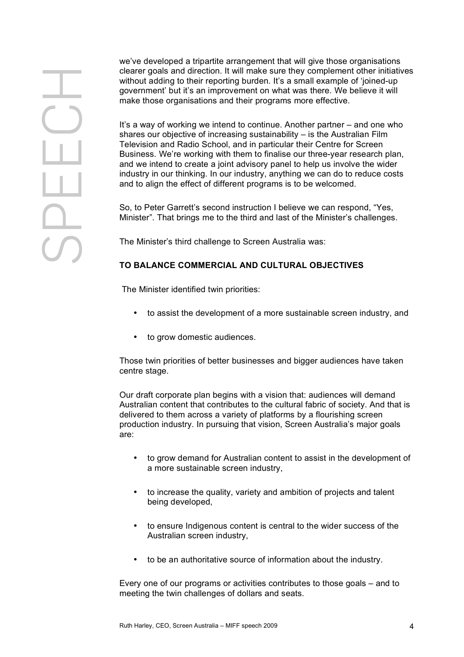we've developed a tripartite arrangement that will give those organisations clearer goals and direction. It will make sure they complement other initiatives without adding to their reporting burden. It's a small example of 'joined-up government' but it's an improvement on what was there. We believe it will make those organisations and their programs more effective.

It's a way of working we intend to continue. Another partner – and one who shares our objective of increasing sustainability – is the Australian Film Television and Radio School, and in particular their Centre for Screen Business. We're working with them to finalise our three-year research plan, and we intend to create a joint advisory panel to help us involve the wider industry in our thinking. In our industry, anything we can do to reduce costs and to align the effect of different programs is to be welcomed.

So, to Peter Garrett's second instruction I believe we can respond, "Yes, Minister". That brings me to the third and last of the Minister's challenges.

The Minister's third challenge to Screen Australia was:

## **TO BALANCE COMMERCIAL AND CULTURAL OBJECTIVES**

The Minister identified twin priorities:

- to assist the development of a more sustainable screen industry, and
- to grow domestic audiences.

Those twin priorities of better businesses and bigger audiences have taken centre stage.

Our draft corporate plan begins with a vision that: audiences will demand Australian content that contributes to the cultural fabric of society. And that is delivered to them across a variety of platforms by a flourishing screen production industry. In pursuing that vision, Screen Australia's major goals are:

- to grow demand for Australian content to assist in the development of a more sustainable screen industry,
- to increase the quality, variety and ambition of projects and talent being developed,
- to ensure Indigenous content is central to the wider success of the Australian screen industry,
- to be an authoritative source of information about the industry.

Every one of our programs or activities contributes to those goals – and to meeting the twin challenges of dollars and seats.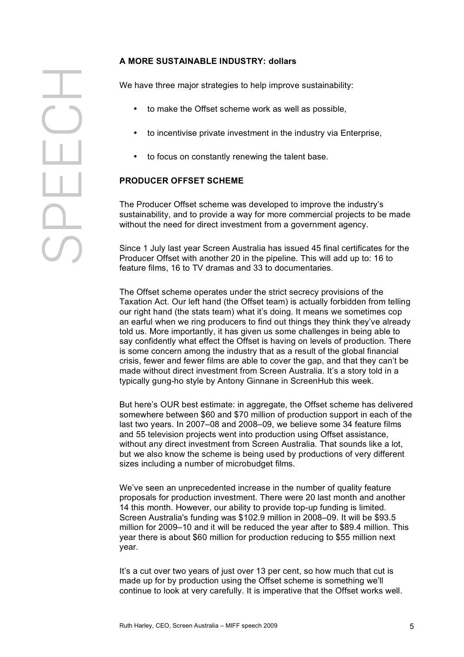### **A MORE SUSTAINABLE INDUSTRY: dollars**

We have three major strategies to help improve sustainability:

- to make the Offset scheme work as well as possible,
- to incentivise private investment in the industry via Enterprise,
- to focus on constantly renewing the talent base.

## **PRODUCER OFFSET SCHEME**

The Producer Offset scheme was developed to improve the industry's sustainability, and to provide a way for more commercial projects to be made without the need for direct investment from a government agency.

Since 1 July last year Screen Australia has issued 45 final certificates for the Producer Offset with another 20 in the pipeline. This will add up to: 16 to feature films, 16 to TV dramas and 33 to documentaries.

The Offset scheme operates under the strict secrecy provisions of the Taxation Act. Our left hand (the Offset team) is actually forbidden from telling our right hand (the stats team) what it's doing. It means we sometimes cop an earful when we ring producers to find out things they think they've already told us. More importantly, it has given us some challenges in being able to say confidently what effect the Offset is having on levels of production. There is some concern among the industry that as a result of the global financial crisis, fewer and fewer films are able to cover the gap, and that they can't be made without direct investment from Screen Australia. It's a story told in a typically gung-ho style by Antony Ginnane in ScreenHub this week.

But here's OUR best estimate: in aggregate, the Offset scheme has delivered somewhere between \$60 and \$70 million of production support in each of the last two years. In 2007–08 and 2008–09, we believe some 34 feature films and 55 television projects went into production using Offset assistance, without any direct investment from Screen Australia. That sounds like a lot, but we also know the scheme is being used by productions of very different sizes including a number of microbudget films.

We've seen an unprecedented increase in the number of quality feature proposals for production investment. There were 20 last month and another 14 this month. However, our ability to provide top-up funding is limited. Screen Australia's funding was \$102.9 million in 2008–09. It will be \$93.5 million for 2009–10 and it will be reduced the year after to \$89.4 million. This year there is about \$60 million for production reducing to \$55 million next year.

It's a cut over two years of just over 13 per cent, so how much that cut is made up for by production using the Offset scheme is something we'll continue to look at very carefully. It is imperative that the Offset works well.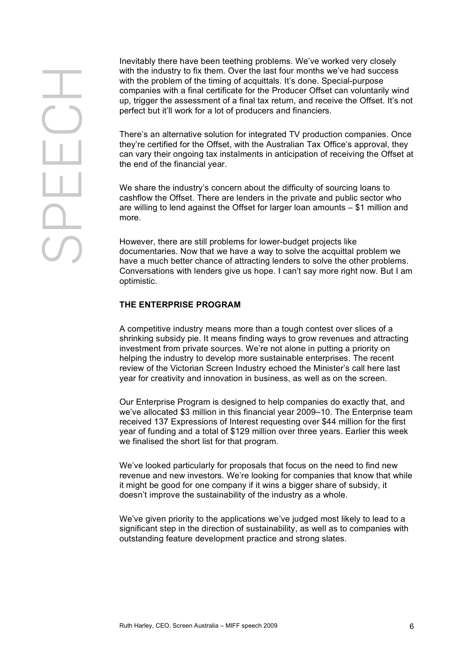Inevitably there have been teething problems. We've worked very closely with the industry to fix them. Over the last four months we've had success with the problem of the timing of acquittals. It's done. Special-purpose companies with a final certificate for the Producer Offset can voluntarily wind up, trigger the assessment of a final tax return, and receive the Offset. It's not perfect but it'll work for a lot of producers and financiers.

There's an alternative solution for integrated TV production companies. Once they're certified for the Offset, with the Australian Tax Office's approval, they can vary their ongoing tax instalments in anticipation of receiving the Offset at the end of the financial year.

We share the industry's concern about the difficulty of sourcing loans to cashflow the Offset. There are lenders in the private and public sector who are willing to lend against the Offset for larger loan amounts – \$1 million and more.

However, there are still problems for lower-budget projects like documentaries. Now that we have a way to solve the acquittal problem we have a much better chance of attracting lenders to solve the other problems. Conversations with lenders give us hope. I can't say more right now. But I am optimistic.

### **THE ENTERPRISE PROGRAM**

A competitive industry means more than a tough contest over slices of a shrinking subsidy pie. It means finding ways to grow revenues and attracting investment from private sources. We're not alone in putting a priority on helping the industry to develop more sustainable enterprises. The recent review of the Victorian Screen Industry echoed the Minister's call here last year for creativity and innovation in business, as well as on the screen.

Our Enterprise Program is designed to help companies do exactly that, and we've allocated \$3 million in this financial year 2009–10. The Enterprise team received 137 Expressions of Interest requesting over \$44 million for the first year of funding and a total of \$129 million over three years. Earlier this week we finalised the short list for that program.

We've looked particularly for proposals that focus on the need to find new revenue and new investors. We're looking for companies that know that while it might be good for one company if it wins a bigger share of subsidy, it doesn't improve the sustainability of the industry as a whole.

We've given priority to the applications we've judged most likely to lead to a significant step in the direction of sustainability, as well as to companies with outstanding feature development practice and strong slates.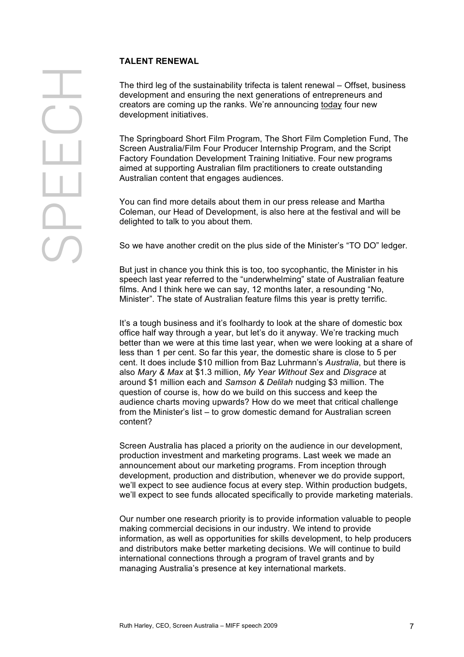### **TALENT RENEWAL**

The third leg of the sustainability trifecta is talent renewal – Offset, business development and ensuring the next generations of entrepreneurs and creators are coming up the ranks. We're announcing today four new development initiatives.

The Springboard Short Film Program, The Short Film Completion Fund, The Screen Australia/Film Four Producer Internship Program, and the Script Factory Foundation Development Training Initiative. Four new programs aimed at supporting Australian film practitioners to create outstanding Australian content that engages audiences.

You can find more details about them in our press release and Martha Coleman, our Head of Development, is also here at the festival and will be delighted to talk to you about them.

So we have another credit on the plus side of the Minister's "TO DO" ledger.

But just in chance you think this is too, too sycophantic, the Minister in his speech last year referred to the "underwhelming" state of Australian feature films. And I think here we can say, 12 months later, a resounding "No, Minister". The state of Australian feature films this year is pretty terrific.

It's a tough business and it's foolhardy to look at the share of domestic box office half way through a year, but let's do it anyway. We're tracking much better than we were at this time last year, when we were looking at a share of less than 1 per cent. So far this year, the domestic share is close to 5 per cent. It does include \$10 million from Baz Luhrmann's *Australia*, but there is also *Mary & Max* at \$1.3 million, *My Year Without Sex* and *Disgrace* at around \$1 million each and *Samson & Delilah* nudging \$3 million. The question of course is, how do we build on this success and keep the audience charts moving upwards? How do we meet that critical challenge from the Minister's list – to grow domestic demand for Australian screen content?

Screen Australia has placed a priority on the audience in our development, production investment and marketing programs. Last week we made an announcement about our marketing programs. From inception through development, production and distribution, whenever we do provide support, we'll expect to see audience focus at every step. Within production budgets, we'll expect to see funds allocated specifically to provide marketing materials.

Our number one research priority is to provide information valuable to people making commercial decisions in our industry. We intend to provide information, as well as opportunities for skills development, to help producers and distributors make better marketing decisions. We will continue to build international connections through a program of travel grants and by managing Australia's presence at key international markets.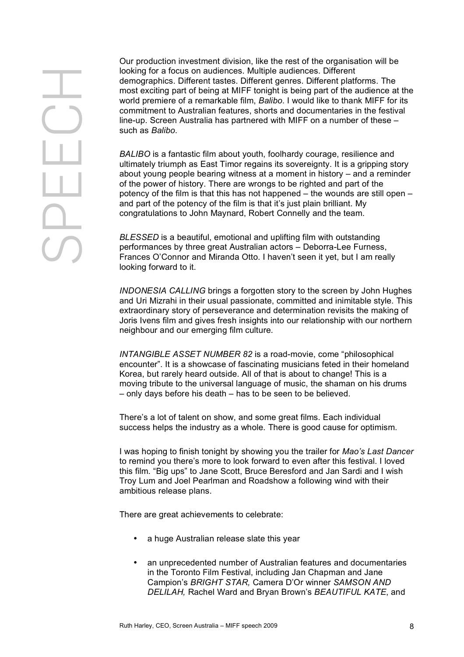Our production investment division, like the rest of the organisation will be looking for a focus on audiences. Multiple audiences. Different demographics. Different tastes. Different genres. Different platforms. The most exciting part of being at MIFF tonight is being part of the audience at the world premiere of a remarkable film, *Balibo*. I would like to thank MIFF for its commitment to Australian features, shorts and documentaries in the festival line-up. Screen Australia has partnered with MIFF on a number of these – such as *Balibo*.

*BALIBO* is a fantastic film about youth, foolhardy courage, resilience and ultimately triumph as East Timor regains its sovereignty. It is a gripping story about young people bearing witness at a moment in history – and a reminder of the power of history. There are wrongs to be righted and part of the potency of the film is that this has not happened – the wounds are still open – and part of the potency of the film is that it's just plain brilliant. My congratulations to John Maynard, Robert Connelly and the team.

*BLESSED* is a beautiful, emotional and uplifting film with outstanding performances by three great Australian actors – Deborra-Lee Furness, Frances O'Connor and Miranda Otto. I haven't seen it yet, but I am really looking forward to it.

*INDONESIA CALLING* brings a forgotten story to the screen by John Hughes and Uri Mizrahi in their usual passionate, committed and inimitable style. This extraordinary story of perseverance and determination revisits the making of Joris Ivens film and gives fresh insights into our relationship with our northern neighbour and our emerging film culture.

*INTANGIBLE ASSET NUMBER 82* is a road-movie, come "philosophical encounter". It is a showcase of fascinating musicians feted in their homeland Korea, but rarely heard outside. All of that is about to change! This is a moving tribute to the universal language of music, the shaman on his drums – only days before his death – has to be seen to be believed.

There's a lot of talent on show, and some great films. Each individual success helps the industry as a whole. There is good cause for optimism.

I was hoping to finish tonight by showing you the trailer for *Mao's Last Dancer* to remind you there's more to look forward to even after this festival. I loved this film. "Big ups" to Jane Scott, Bruce Beresford and Jan Sardi and I wish Troy Lum and Joel Pearlman and Roadshow a following wind with their ambitious release plans.

There are great achievements to celebrate:

- a huge Australian release slate this year
- an unprecedented number of Australian features and documentaries in the Toronto Film Festival, including Jan Chapman and Jane Campion's *BRIGHT STAR,* Camera D'Or winner *SAMSON AND DELILAH,* Rachel Ward and Bryan Brown's *BEAUTIFUL KATE*, and